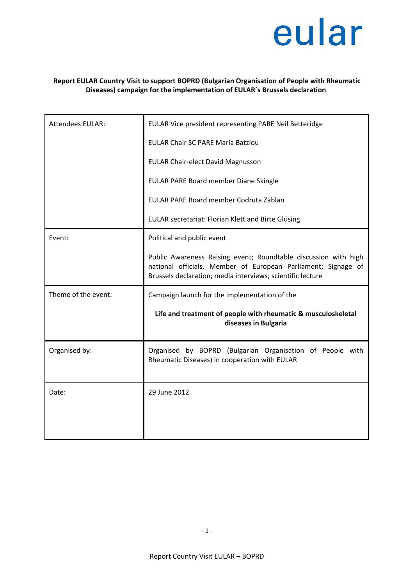

## **Report EULAR Country Visit to support BOPRD (Bulgarian Organisation of People with Rheumatic Diseases) campaign for the implementation of EULAR`s Brussels declaration**.

| <b>Attendees EULAR:</b> | EULAR Vice president representing PARE Neil Betteridge                                                                                                                                         |
|-------------------------|------------------------------------------------------------------------------------------------------------------------------------------------------------------------------------------------|
|                         | <b>EULAR Chair SC PARE Maria Batziou</b>                                                                                                                                                       |
|                         | <b>EULAR Chair-elect David Magnusson</b>                                                                                                                                                       |
|                         | EULAR PARE Board member Diane Skingle                                                                                                                                                          |
|                         | EULAR PARE Board member Codruta Zablan                                                                                                                                                         |
|                         | EULAR secretariat: Florian Klett and Birte Glüsing                                                                                                                                             |
| Event:                  | Political and public event                                                                                                                                                                     |
|                         | Public Awareness Raising event; Roundtable discussion with high<br>national officials, Member of European Parliament; Signage of<br>Brussels declaration; media interviews; scientific lecture |
| Theme of the event:     | Campaign launch for the implementation of the                                                                                                                                                  |
|                         | Life and treatment of people with rheumatic & musculoskeletal<br>diseases in Bulgaria                                                                                                          |
| Organised by:           | Organised by BOPRD (Bulgarian Organisation of People with<br>Rheumatic Diseases) in cooperation with EULAR                                                                                     |
| Date:                   | 29 June 2012                                                                                                                                                                                   |
|                         |                                                                                                                                                                                                |
|                         |                                                                                                                                                                                                |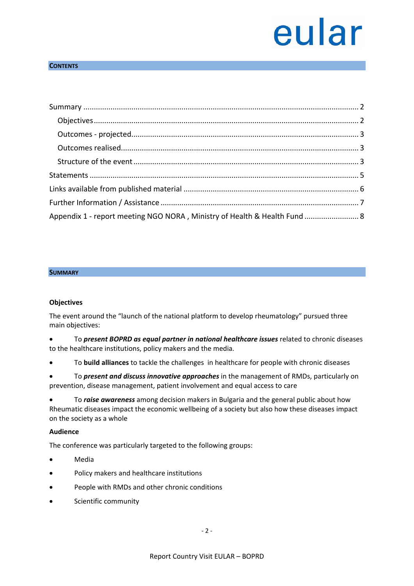## **CONTENTS**

| Appendix 1 - report meeting NGO NORA, Ministry of Health & Health Fund  8 |  |
|---------------------------------------------------------------------------|--|

#### <span id="page-1-0"></span>**SUMMARY**

#### <span id="page-1-1"></span>**Objectives**

The event around the "launch of the national platform to develop rheumatology" pursued three main objectives:

- To *present BOPRD as equal partner in national healthcare issues* related to chronic diseases to the healthcare institutions, policy makers and the media*.*
- To **build alliances** to tackle the challenges in healthcare for people with chronic diseases
- To *present and discuss innovative approaches* in the management of RMDs, particularly on prevention, disease management, patient involvement and equal access to care

• To *raise awareness* among decision makers in Bulgaria and the general public about how Rheumatic diseases impact the economic wellbeing of a society but also how these diseases impact on the society as a whole

#### **Audience**

The conference was particularly targeted to the following groups:

- Media
- Policy makers and healthcare institutions
- People with RMDs and other chronic conditions
- Scientific community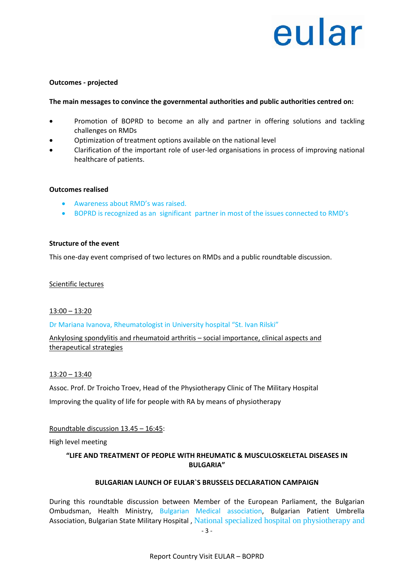#### <span id="page-2-0"></span>**Outcomes - projected**

#### **The main messages to convince the governmental authorities and public authorities centred on:**

- Promotion of BOPRD to become an ally and partner in offering solutions and tackling challenges on RMDs
- Optimization of treatment options available on the national level
- Clarification of the important role of user-led organisations in process of improving national healthcare of patients.

#### <span id="page-2-1"></span>**Outcomes realised**

- Awareness about RMD's was raised.
- BOPRD is recognized as an significant partner in most of the issues connected to RMD's

#### <span id="page-2-2"></span>**Structure of the event**

This one-day event comprised of two lectures on RMDs and a public roundtable discussion.

#### Scientific lectures

#### 13:00 – 13:20

#### Dr Mariana Ivanova, Rheumatologist in University hospital "St. Ivan Rilski"

Ankylosing spondylitis and rheumatoid arthritis – social importance, clinical aspects and therapeutical strategies

#### 13:20 – 13:40

Assoc. Prof. Dr Troicho Troev, Head of the Physiotherapy Clinic of The Military Hospital Improving the quality of life for people with RA by means of physiotherapy

#### Roundtable discussion 13.45 – 16:45:

High level meeting

## **"LIFE AND TREATMENT OF PEOPLE WITH RHEUMATIC & MUSCULOSKELETAL DISEASES IN BULGARIA"**

#### **BULGARIAN LAUNCH OF EULAR`S BRUSSELS DECLARATION CAMPAIGN**

During this roundtable discussion between Member of the European Parliament, the Bulgarian Ombudsman, Health Ministry, Bulgarian Medical association, Bulgarian Patient Umbrella Association, Bulgarian State Military Hospital , National specialized hospital on physiotherapy and

- 3 -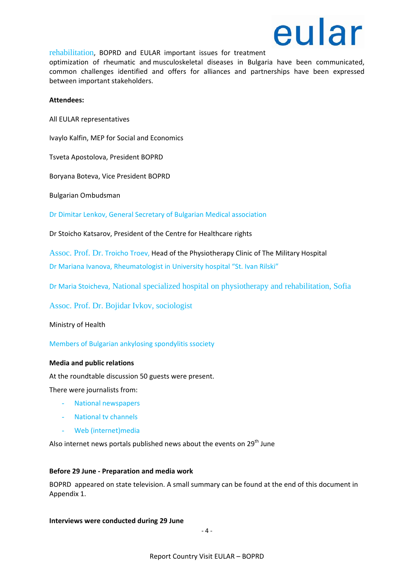

rehabilitation, BOPRD and EULAR important issues for treatment

optimization of rheumatic and musculoskeletal diseases in Bulgaria have been communicated, common challenges identified and offers for alliances and partnerships have been expressed between important stakeholders.

#### **Attendees:**

All EULAR representatives

Ivaylo Kalfin, MEP for Social and Economics

Tsveta Apostolоva, President BOPRD

Boryana Boteva, Vice President BOPRD

Bulgarian Ombudsman

Dr Dimitar Lenkov, General Secretary of Bulgarian Medical association

Dr Stoicho Katsarov, President of the Centre for Healthcare rights

Assoc. Prof. Dr. Troicho Troev, Head of the Physiotherapy Clinic of The Military Hospital

Dr Mariana Ivanova, Rheumatologist in University hospital "St. Ivan Rilski"

Dr Maria Stoicheva, National specialized hospital on physiotherapy and rehabilitation, Sofia

Assoc. Prof. Dr. Bojidar Ivkov, sociologist

Ministry of Health

Members of Bulgarian ankylosing spondylitis ssociety

#### **Media and public relations**

At the roundtable discussion 50 guests were present.

There were journalists from:

- National newspapers
- National tv channels
- Web (internet)media

Also internet news portals published news about the events on 29<sup>th</sup> June

#### **Before 29 June - Preparation and media work**

BOPRD appeared on state television. A small summary can be found at the end of this document in Appendix 1.

#### **Interviews were conducted during 29 June**

 $-4-$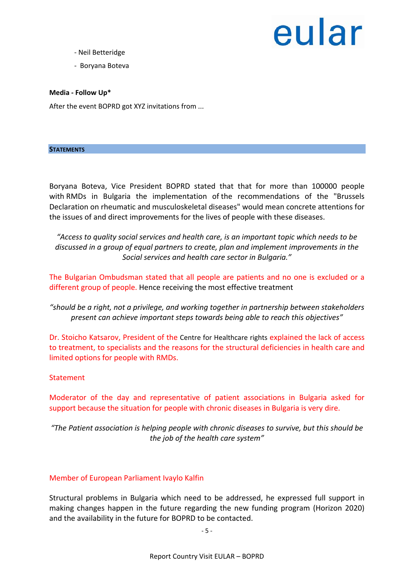- Neil Betteridge
- Boryana Boteva

**Media - Follow Up\***

<span id="page-4-0"></span>After the event BOPRD got XYZ invitations from ...

#### **STATEMENTS**

Boryana Boteva, Vice President BOPRD stated that that for more than 100000 people with RMDs in Bulgaria the implementation of the recommendations of the "Brussels Declaration on rheumatic and musculoskeletal diseases" would mean concrete attentions for the issues of and direct improvements for the lives of people with these diseases.

*"Access to quality social services and health care, is an important topic which needs to be discussed in a group of equal partners to create, plan and implement improvements in the Social services and health care sector in Bulgaria."*

The Bulgarian Ombudsman stated that all people are patients and no one is excluded or a different group of people. Hence receiving the most effective treatment

*"should be a right, not a privilege, and working together in partnership between stakeholders present can achieve important steps towards being able to reach this objectives"*

Dr. Stoicho Katsarov, President of the Centre for Healthcare rights explained the lack of access to treatment, to specialists and the reasons for the structural deficiencies in health care and limited options for people with RMDs.

## **Statement**

Moderator of the day and representative of patient associations in Bulgaria asked for support because the situation for people with chronic diseases in Bulgaria is very dire.

*"The Patient association is helping people with chronic diseases to survive, but this should be the job of the health care system"*

## Member of European Parliament Ivaylo Kalfin

Structural problems in Bulgaria which need to be addressed, he expressed full support in making changes happen in the future regarding the new funding program (Horizon 2020) and the availability in the future for BOPRD to be contacted.

- 5 -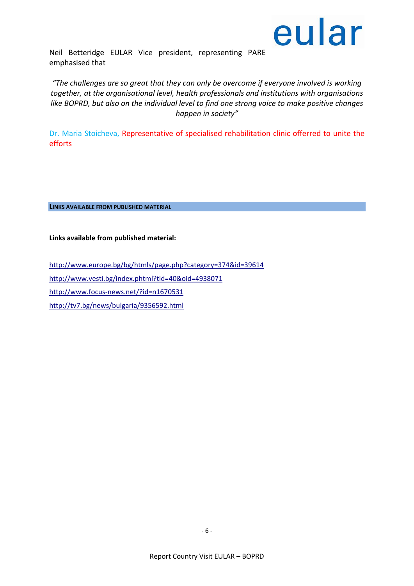

Neil Betteridge EULAR Vice president, representing PARE emphasised that

*"The challenges are so great that they can only be overcome if everyone involved is working together, at the organisational level, health professionals and institutions with organisations like BOPRD, but also on the individual level to find one strong voice to make positive changes happen in society"*

Dr. Maria Stoicheva, Representative of specialised rehabilitation clinic оfferred to unite the efforts

<span id="page-5-0"></span>**LINKS AVAILABLE FROM PUBLISHED MATERIAL**

**Links available from published material:**

<http://www.europe.bg/bg/htmls/page.php?category=374&id=39614> <http://www.vesti.bg/index.phtml?tid=40&oid=4938071> <http://www.focus-news.net/?id=n1670531> <http://tv7.bg/news/bulgaria/9356592.html>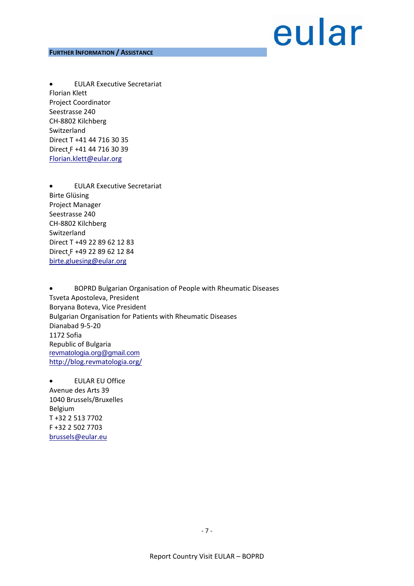#### <span id="page-6-0"></span>**FURTHER INFORMATION / ASSISTANCE**

## eular

• EULAR Executive Secretariat Florian Klett Project Coordinator Seestrasse 240 CH-8802 Kilchberg Switzerland Direct T +41 44 716 30 35 Direct F +41 44 716 30 39 [Florian.klett@eular.org](mailto:Florian.klett@eular.org)

• EULAR Executive Secretariat Birte Glüsing Project Manager Seestrasse 240 CH-8802 Kilchberg Switzerland Direct T +49 22 89 62 12 83 Direct F +49 22 89 62 12 84 [birte.gluesing@eular.org](mailto:birte.gluesing@eular.org)

• BOPRD Bulgarian Organisation of People with Rheumatic Diseases Tsveta Apostoleva, President Boryana Boteva, Vice President Bulgarian Organisation for Patients with Rheumatic Diseases Dianabad 9-5-20 1172 Sofia Republic of Bulgaria [revmatologia.org@gmail.com](mailto:revmatologia.org@gmail.com) <http://blog.revmatologia.org/>

• EULAR EU Office Avenue des Arts 39 1040 Brussels/Bruxelles Belgium T +32 2 513 7702 F +32 2 502 7703 [brussels@eular.eu](mailto:brussels@eular.eu)

- 7 -